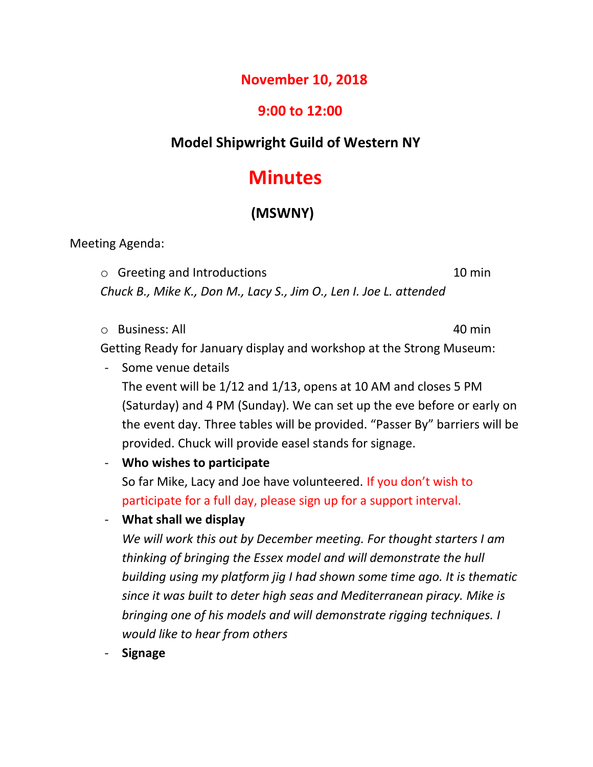## **November 10, 2018**

# **9:00 to 12:00**

# **Model Shipwright Guild of Western NY**

# **Minutes**

# **(MSWNY)**

Meeting Agenda:

- o Greeting and Introductions 10 min *Chuck B., Mike K., Don M., Lacy S., Jim O., Len I. Joe L. attended*
- o Business: All 40 min

- Getting Ready for January display and workshop at the Strong Museum:
- Some venue details The event will be 1/12 and 1/13, opens at 10 AM and closes 5 PM (Saturday) and 4 PM (Sunday). We can set up the eve before or early on the event day. Three tables will be provided. "Passer By" barriers will be provided. Chuck will provide easel stands for signage.
- **Who wishes to participate**

So far Mike, Lacy and Joe have volunteered. If you don't wish to participate for a full day, please sign up for a support interval.

- **What shall we display**

*We will work this out by December meeting. For thought starters I am thinking of bringing the Essex model and will demonstrate the hull building using my platform jig I had shown some time ago. It is thematic since it was built to deter high seas and Mediterranean piracy. Mike is bringing one of his models and will demonstrate rigging techniques. I would like to hear from others*

- **Signage**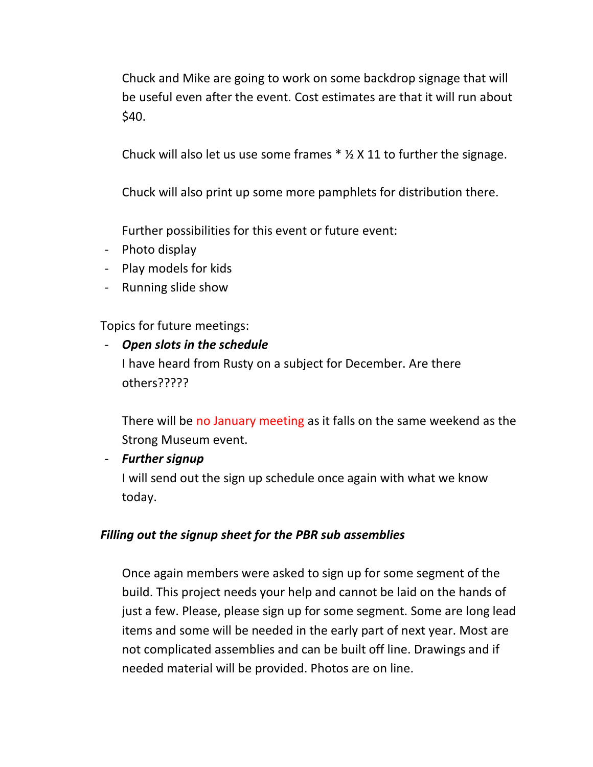Chuck and Mike are going to work on some backdrop signage that will be useful even after the event. Cost estimates are that it will run about \$40.

Chuck will also let us use some frames  $*$  %  $\times$  11 to further the signage.

Chuck will also print up some more pamphlets for distribution there.

Further possibilities for this event or future event:

- Photo display
- Play models for kids
- Running slide show

Topics for future meetings:

# - *Open slots in the schedule* I have heard from Rusty on a subject for December. Are there others?????

There will be no January meeting as it falls on the same weekend as the Strong Museum event.

#### - *Further signup*

I will send out the sign up schedule once again with what we know today.

#### *Filling out the signup sheet for the PBR sub assemblies*

Once again members were asked to sign up for some segment of the build. This project needs your help and cannot be laid on the hands of just a few. Please, please sign up for some segment. Some are long lead items and some will be needed in the early part of next year. Most are not complicated assemblies and can be built off line. Drawings and if needed material will be provided. Photos are on line.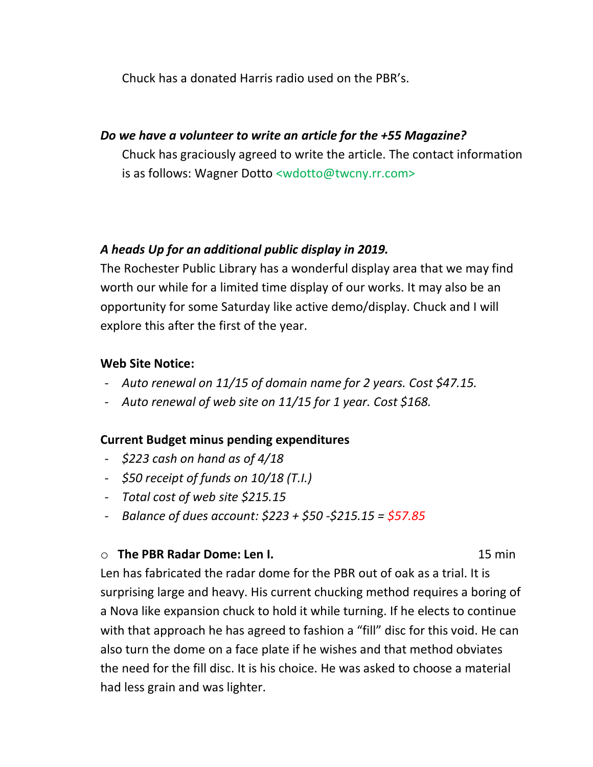Chuck has a donated Harris radio used on the PBR's.

### *Do we have a volunteer to write an article for the +55 Magazine?*

Chuck has graciously agreed to write the article. The contact information is as follows: Wagner Dotto <wdotto@twcny.rr.com>

### *A heads Up for an additional public display in 2019.*

The Rochester Public Library has a wonderful display area that we may find worth our while for a limited time display of our works. It may also be an opportunity for some Saturday like active demo/display. Chuck and I will explore this after the first of the year.

#### **Web Site Notice:**

- *Auto renewal on 11/15 of domain name for 2 years. Cost \$47.15.*
- *Auto renewal of web site on 11/15 for 1 year. Cost \$168.*

#### **Current Budget minus pending expenditures**

- *\$223 cash on hand as of 4/18*
- *\$50 receipt of funds on 10/18 (T.I.)*
- *Total cost of web site \$215.15*
- *Balance of dues account: \$223 + \$50 -\$215.15 = \$57.85*

#### o **The PBR Radar Dome: Len I.** 15 min

Len has fabricated the radar dome for the PBR out of oak as a trial. It is surprising large and heavy. His current chucking method requires a boring of a Nova like expansion chuck to hold it while turning. If he elects to continue with that approach he has agreed to fashion a "fill" disc for this void. He can also turn the dome on a face plate if he wishes and that method obviates the need for the fill disc. It is his choice. He was asked to choose a material had less grain and was lighter.